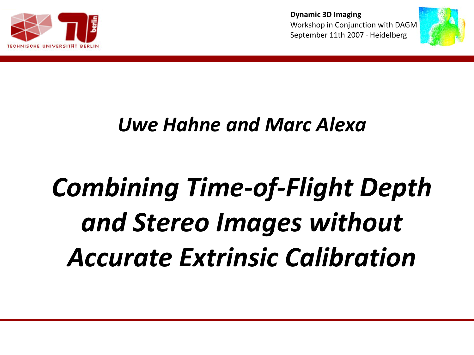



#### *Uwe Hahne and Marc Alexa*

# *Combining Time-of-Flight Depth and Stereo Images without Accurate Extrinsic Calibration*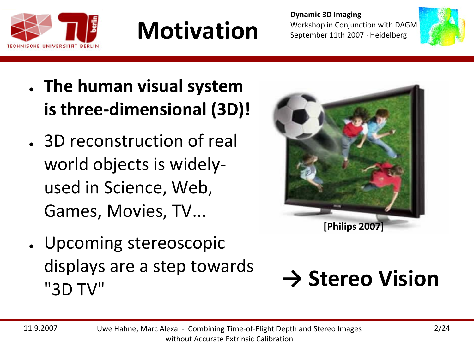

#### **Motivation**

**Dynamic 3D Imaging** Workshop in Conjunction with DAGM September 11th 2007 · Heidelberg



- **The human visual system is three-dimensional (3D)!**
- 3D reconstruction of real world objects is widelyused in Science, Web, Games, Movies, TV...
- Upcoming stereoscopic displays are a step towards "3D TV"



#### **→ Stereo Vision**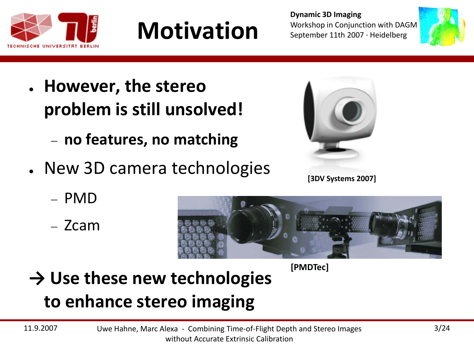

**Motivation**

**Dynamic 3D Imaging** Workshop in Conjunction with DAGM September 11th 2007 · Heidelberg



- **However, the stereo problem is still unsolved!**
	- − **no features, no matching**
- New 3D camera technologies
	- − PMD
	- − Zcam





**[PMDTec]**

**→ Use these new technologies** 

#### **to enhance stereo imaging**

11.9.2007 Uwe Hahne, Marc Alexa - Combining Time-of-Flight Depth and Stereo Images without Accurate Extrinsic Calibration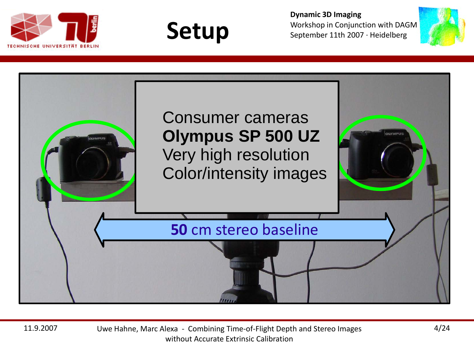





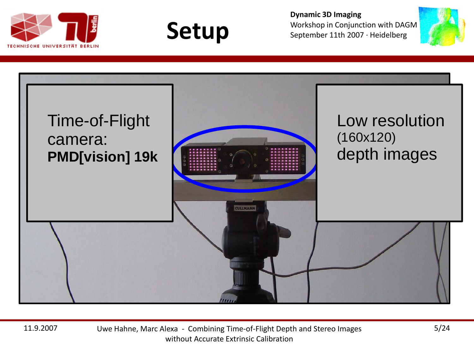







11.9.2007 Uwe Hahne, Marc Alexa - Combining Time-of-Flight Depth and Stereo Images without Accurate Extrinsic Calibration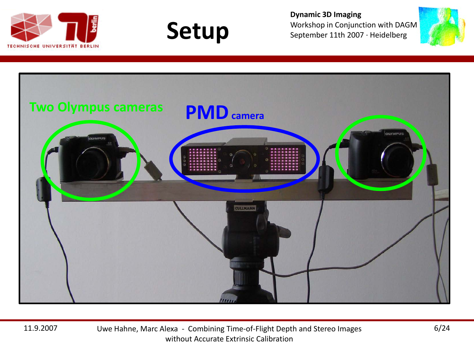







11.9.2007 Uwe Hahne, Marc Alexa - Combining Time-of-Flight Depth and Stereo Images without Accurate Extrinsic Calibration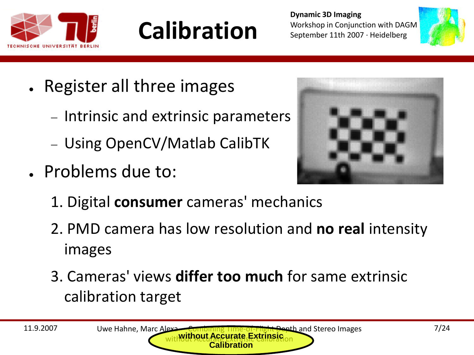

### **Calibration**



- Register all three images
	- − Intrinsic and extrinsic parameters
	- − Using OpenCV/Matlab CalibTK
- Problems due to:



- 1. Digital **consumer** cameras' mechanics
- 2. PMD camera has low resolution and **no real** intensity images
- 3. Cameras' views **differ too much** for same extrinsic calibration target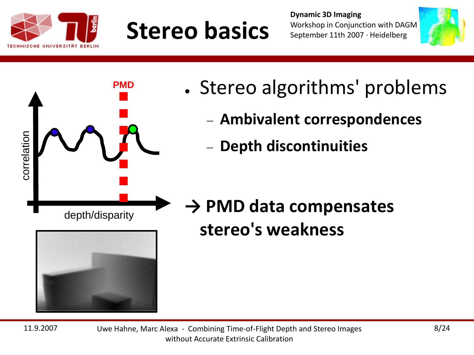

correlation

correlation

#### **Stereo basics**

**Dynamic 3D Imaging** Workshop in Conjunction with DAGM September 11th 2007 · Heidelberg



- Stereo algorithms' problems
	- − **Ambivalent correspondences**
	- − **Depth discontinuities**

depth/disparity

**PMD**



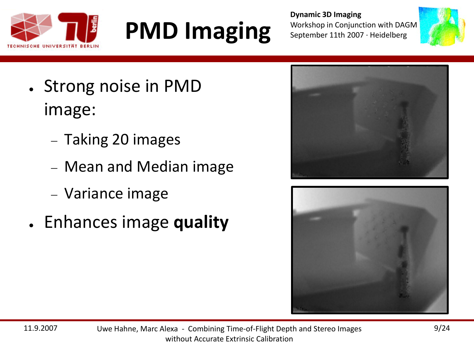



- Strong noise in PMD image:
	- − Taking 20 images
	- − Mean and Median image
	- − Variance image
- Enhances image **quality**



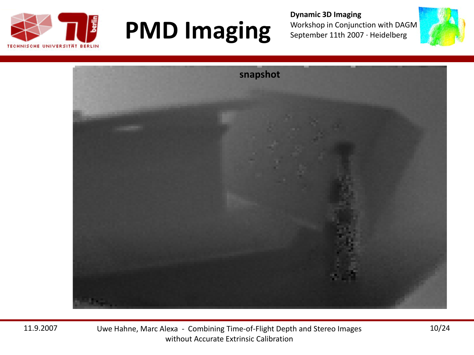

**Dynamic 3D Imaging** Workshop in Conjunction with DAGM September 11th 2007 · Heidelberg





11.9.2007 Uwe Hahne, Marc Alexa - Combining Time-of-Flight Depth and Stereo Images without Accurate Extrinsic Calibration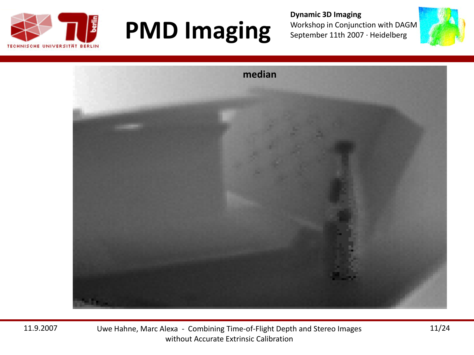



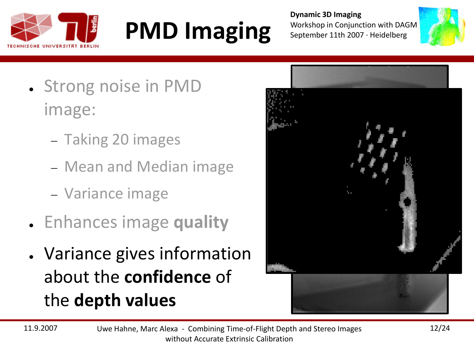



- Strong noise in PMD image:
	- − Taking 20 images
	- − Mean and Median image
	- − Variance image
- Enhances image **quality**
- Variance gives information about the **confidence** of the **depth values**

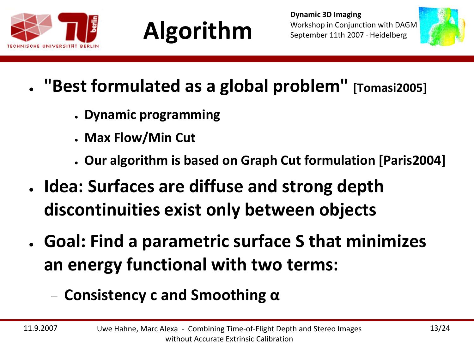





- **"Best formulated as a global problem"** [Tomasi2005]
	- **Dynamic programming**
	- **Max Flow/Min Cut**
	- **Our algorithm is based on Graph Cut formulation [Paris2004]**
- **Idea: Surfaces are diffuse and strong depth discontinuities exist only between objects**
- **Goal: Find a parametric surface S that minimizes an energy functional with two terms:**
	- − **Consistency c and Smoothing α**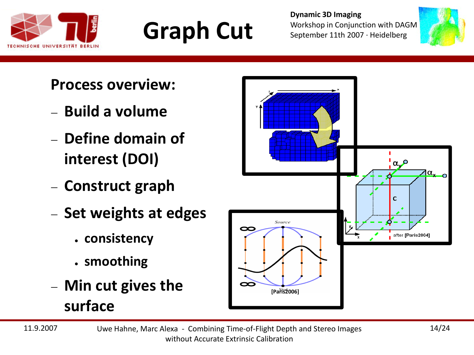





#### **Process overview:**

- − **Build a volume**
- − **Define domain of interest (DOI)**
- − **Construct graph**
- − **Set weights at edges**
	- **consistency**
	- **smoothing**
- − **Min cut gives the surface**

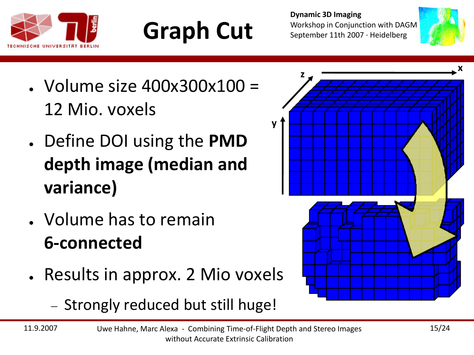





- $\cdot$  Volume size 400x300x100 = 12 Mio. voxels
- Define DOI using the **PMD depth image (median and variance)**
- Volume has to remain **6-connected**
- Results in approx. 2 Mio voxels
	- − Strongly reduced but still huge!



**y**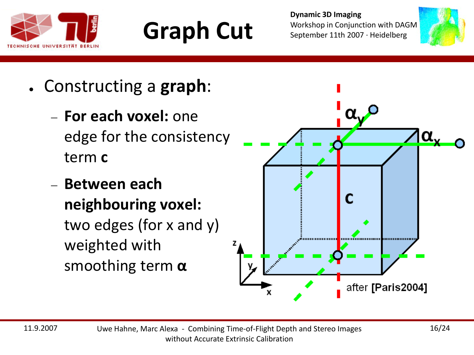





- Constructing a **graph**:
	- − **For each voxel:** one edge for the consistency term **c**
	- − **Between each neighbouring voxel:** two edges (for x and y) weighted with smoothing term **α**

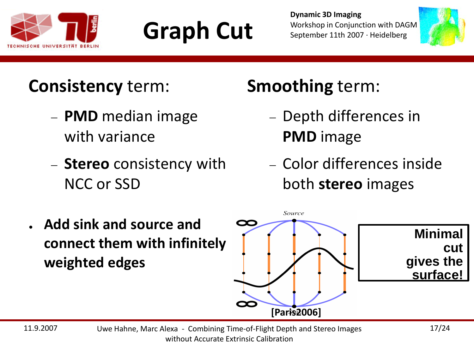





#### **Consistency** term:

- − **PMD** median image with variance
- − **Stereo** consistency with NCC or SSD

#### **Smoothing** term:

- − Depth differences in **PMD** image
- − Color differences inside both **stereo** images



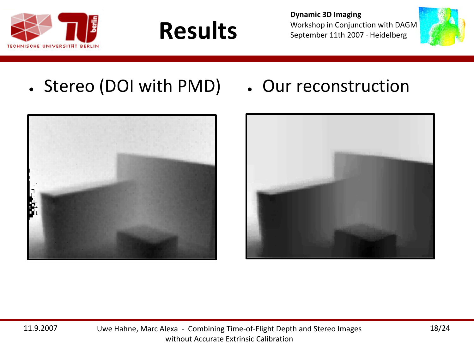





• Stereo (DOI with PMD) • Our reconstruction



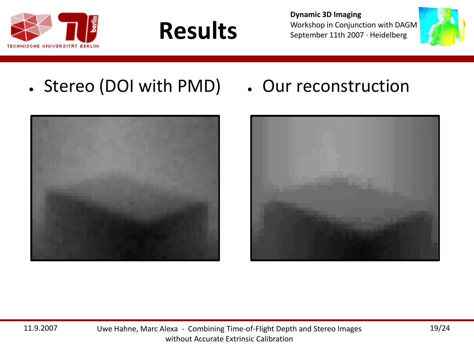





• Stereo (DOI with PMD) • Our reconstruction



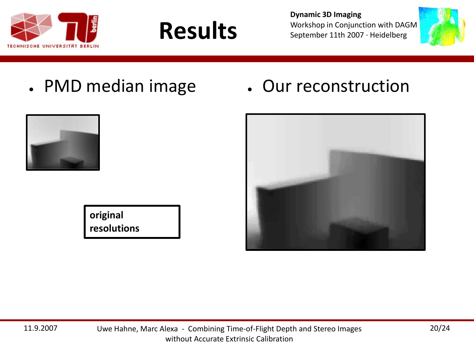



• PMD median image • Our reconstruction





**original resolutions** **Results**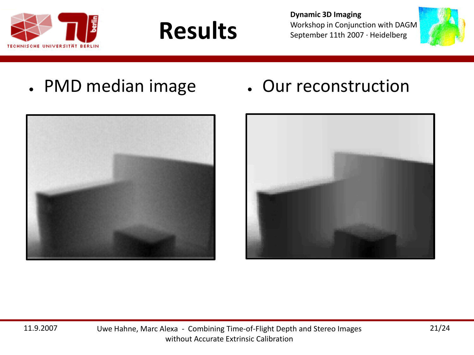

**Results**

**Dynamic 3D Imaging** Workshop in Conjunction with DAGM September 11th 2007 · Heidelberg



• PMD median image • Our reconstruction



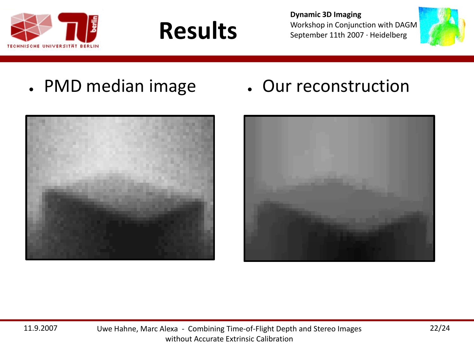



- PMD median image Our reconstruction
	-





**Results**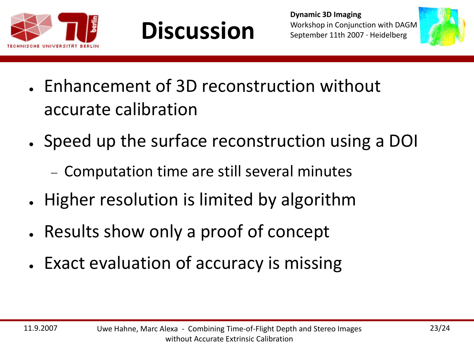





- Enhancement of 3D reconstruction without accurate calibration
- Speed up the surface reconstruction using a DOI
	- − Computation time are still several minutes
- Higher resolution is limited by algorithm
- Results show only a proof of concept
- Exact evaluation of accuracy is missing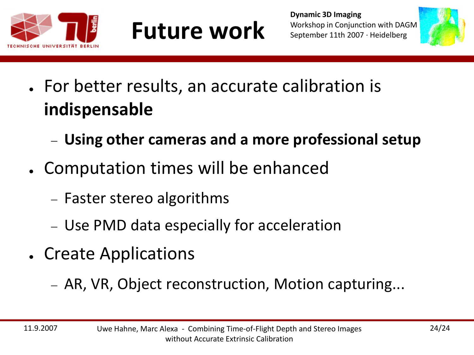





- For better results, an accurate calibration is **indispensable**
	- − **Using other cameras and a more professional setup**
- Computation times will be enhanced
	- − Faster stereo algorithms
	- − Use PMD data especially for acceleration
- Create Applications
	- − AR, VR, Object reconstruction, Motion capturing...